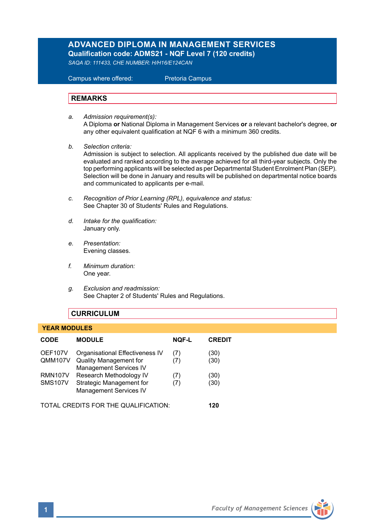# **ADVANCED DIPLOMA IN MANAGEMENT SERVICES Qualification code: ADMS21 - NQF Level 7 (120 credits)**

*SAQA ID: 111433, CHE NUMBER: H/H16/E124CAN* 

 Campus where offered: Pretoria Campus

### **REMARKS**

- *a. Admission requirement(s):*  A Diploma **or** National Diploma in Management Services **or** a relevant bachelor's degree, **or** any other equivalent qualification at NQF 6 with a minimum 360 credits.
- *b. Selection criteria:*

Admission is subject to selection. All applicants received by the published due date will be evaluated and ranked according to the average achieved for all third-year subjects. Only the top performing applicants will be selected as per Departmental Student Enrolment Plan (SEP). Selection will be done in January and results will be published on departmental notice boards and communicated to applicants per e-mail.

- *c. Recognition of Prior Learning (RPL), equivalence and status:* See Chapter 30 of Students' Rules and Regulations.
- *d. Intake for the qualification:* January only.
- *e. Presentation:* Evening classes.
- *f. Minimum duration:* One year.
- *g. Exclusion and readmission:* See Chapter 2 of Students' Rules and Regulations.

# **CURRICULUM**

### **YEAR MODULES**

| <b>CODE</b>                      | <b>MODULE</b>                                                                                     | <b>NOF-L</b> | <b>CREDIT</b> |
|----------------------------------|---------------------------------------------------------------------------------------------------|--------------|---------------|
| OEF107V<br><b>QMM107V</b>        | Organisational Effectiveness IV<br><b>Quality Management for</b><br><b>Management Services IV</b> | (7)<br>(7)   | (30)<br>(30)  |
| <b>RMN107V</b><br><b>SMS107V</b> | Research Methodology IV<br>Strategic Management for<br><b>Management Services IV</b>              | (7)<br>(7)   | (30)<br>(30)  |
| CREDITS FOR THE OUAL IFICATION.  |                                                                                                   |              | 120           |